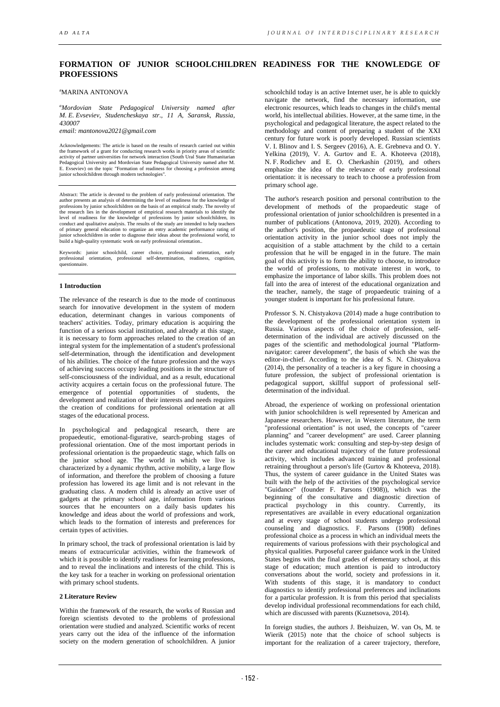# **FORMATION OF JUNIOR SCHOOLCHILDREN READINESS FOR THE KNOWLEDGE OF PROFESSIONS**

a MARINA ANTONOVA

*a Mordovian State Pedagogical University named after M. E. Evseviev, Studencheskaya str., 11 A, Saransk, Russia, 430007*

*email: mantonova2021@gmail.com*

Acknowledgements: The article is based on the results of research carried out within the framework of a grant for conducting research works in priority areas of scientific activity of partner universities for network interaction (South Ural State Humanitarian Pedagogical University and Mordovian State Pedagogical University named after M. E. Evseviev) on the topic "Formation of readiness for choosing a profession among junior schoolchildren through modern technologies".

Abstract: The article is devoted to the problem of early professional orientation. The author presents an analysis of determining the level of readiness for the knowledge of professions by junior schoolchildren on the basis of an empirical study. The novelty of the research lies in the development of empirical research materials to identify the level of readiness for the knowledge of professions by junior schoolchildren, its conduct and qualitative analysis. The results of the study are intended to help teachers of primary general education to organize an entry a build a high-quality systematic work on early professional orientation..

Keywords: junior schoolchild, career choice, professional orientation, early professional orientation, professional self-determination, readiness, cognition, questionnaire.

## **1 Introduction**

The relevance of the research is due to the mode of continuous search for innovative development in the system of modern education, determinant changes in various components of teachers' activities. Today, primary education is acquiring the function of a serious social institution, and already at this stage, it is necessary to form approaches related to the creation of an integral system for the implementation of a student's professional self-determination, through the identification and development of his abilities. The choice of the future profession and the ways of achieving success occupy leading positions in the structure of self-consciousness of the individual, and as a result, educational activity acquires a certain focus on the professional future. The emergence of potential opportunities of students, the development and realization of their interests and needs requires the creation of conditions for professional orientation at all stages of the educational process.

In psychological and pedagogical research, there are propaedeutic, emotional-figurative, search-probing stages of professional orientation. One of the most important periods in professional orientation is the propaedeutic stage, which falls on the junior school age. The world in which we live is characterized by a dynamic rhythm, active mobility, a large flow of information, and therefore the problem of choosing a future profession has lowered its age limit and is not relevant in the graduating class. A modern child is already an active user of gadgets at the primary school age, information from various sources that he encounters on a daily basis updates his knowledge and ideas about the world of professions and work, which leads to the formation of interests and preferences for certain types of activities.

In primary school, the track of professional orientation is laid by means of extracurricular activities, within the framework of which it is possible to identify readiness for learning professions, and to reveal the inclinations and interests of the child. This is the key task for a teacher in working on professional orientation with primary school students.

## **2 Literature Review**

Within the framework of the research, the works of Russian and foreign scientists devoted to the problems of professional orientation were studied and analyzed. Scientific works of recent years carry out the idea of the influence of the information society on the modern generation of schoolchildren. A junior

schoolchild today is an active Internet user, he is able to quickly navigate the network, find the necessary information, use electronic resources, which leads to changes in the child's mental world, his intellectual abilities. However, at the same time, in the psychological and pedagogical literature, the aspect related to the methodology and content of preparing a student of the XXI century for future work is poorly developed. Russian scientists V. I. Blinov and I. S. Sergeev (2016), A. E. Grebneva and O. Y. Yelkina (2019), V. A. Gurtov and E. A. Khoteeva (2018), N. F. Rodichev and E. O. Cherkashin (2019), and others emphasize the idea of the relevance of early professional orientation: it is necessary to teach to choose a profession from primary school age.

The author's research position and personal contribution to the development of methods of the propaedeutic stage of professional orientation of junior schoolchildren is presented in a number of publications (Antonova, 2019, 2020). According to the author's position, the propaedeutic stage of professional orientation activity in the junior school does not imply the acquisition of a stable attachment by the child to a certain profession that he will be engaged in in the future. The main goal of this activity is to form the ability to choose, to introduce the world of professions, to motivate interest in work, to emphasize the importance of labor skills. This problem does not fall into the area of interest of the educational organization and the teacher, namely, the stage of propaedeutic training of a younger student is important for his professional future.

Professor S. N. Chistyakova (2014) made a huge contribution to the development of the professional orientation system in Russia. Various aspects of the choice of profession, selfdetermination of the individual are actively discussed on the pages of the scientific and methodological journal "Platformnavigator: career development", the basis of which she was the editor-in-chief. According to the idea of S. N. Chistyakova (2014), the personality of a teacher is a key figure in choosing a future profession, the subject of professional orientation is pedagogical support, skillful support of professional selfdetermination of the individual.

Abroad, the experience of working on professional orientation with junior schoolchildren is well represented by American and Japanese researchers. However, in Western literature, the term "professional orientation" is not used, the concepts of "career planning" and "career development" are used. Career planning includes systematic work: consulting and step-by-step design of the career and educational trajectory of the future professional activity, which includes advanced training and professional retraining throughout a person's life (Gurtov & Khoteeva, 2018). Thus, the system of career guidance in the United States was built with the help of the activities of the psychological service "Guidance" (founder F. Parsons (1908)), which was the beginning of the consultative and diagnostic direction of practical psychology in this country. Currently, its representatives are available in every educational organization and at every stage of school students undergo professional counseling and diagnostics. F. Parsons (1908) defines professional choice as a process in which an individual meets the requirements of various professions with their psychological and physical qualities. Purposeful career guidance work in the United States begins with the final grades of elementary school, at this stage of education; much attention is paid to introductory conversations about the world, society and professions in it. With students of this stage, it is mandatory to conduct diagnostics to identify professional preferences and inclinations for a particular profession. It is from this period that specialists develop individual professional recommendations for each child, which are discussed with parents (Kuznetsova, 2014).

In foreign studies, the authors J. Beishuizen, W. van Os, M. te Wierik (2015) note that the choice of school subjects is important for the realization of a career trajectory, therefore,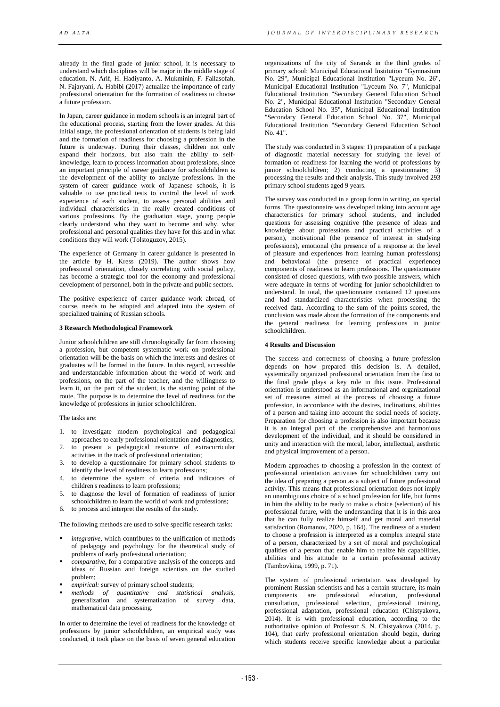already in the final grade of junior school, it is necessary to understand which disciplines will be major in the middle stage of education. N. Arif, H. Hadiyanto, A. Mukminin, F. Failasofah, N. Fajaryani, A. Habibi (2017) actualize the importance of early professional orientation for the formation of readiness to choose a future profession.

In Japan, career guidance in modern schools is an integral part of the educational process, starting from the lower grades. At this initial stage, the professional orientation of students is being laid and the formation of readiness for choosing a profession in the future is underway. During their classes, children not only expand their horizons, but also train the ability to selfknowledge, learn to process information about professions, since an important principle of career guidance for schoolchildren is the development of the ability to analyze professions. In the system of career guidance work of Japanese schools, it is valuable to use practical tests to control the level of work experience of each student, to assess personal abilities and individual characteristics in the really created conditions of various professions. By the graduation stage, young people clearly understand who they want to become and why, what professional and personal qualities they have for this and in what conditions they will work (Tolstoguzov, 2015).

The experience of Germany in career guidance is presented in the article by H. Kress (2019). The author shows how professional orientation, closely correlating with social policy, has become a strategic tool for the economy and professional development of personnel, both in the private and public sectors.

The positive experience of career guidance work abroad, of course, needs to be adopted and adapted into the system of specialized training of Russian schools.

## **3 Research Methodological Framework**

Junior schoolchildren are still chronologically far from choosing a profession, but competent systematic work on professional orientation will be the basis on which the interests and desires of graduates will be formed in the future. In this regard, accessible and understandable information about the world of work and professions, on the part of the teacher, and the willingness to learn it, on the part of the student, is the starting point of the route. The purpose is to determine the level of readiness for the knowledge of professions in junior schoolchildren.

The tasks are:

- 1. to investigate modern psychological and pedagogical approaches to early professional orientation and diagnostics;
- 2. to present a pedagogical resource of extracurricular activities in the track of professional orientation;
- 3. to develop a questionnaire for primary school students to identify the level of readiness to learn professions;
- 4. to determine the system of criteria and indicators of children's readiness to learn professions;
- 5. to diagnose the level of formation of readiness of junior schoolchildren to learn the world of work and professions;
- to process and interpret the results of the study.

The following methods are used to solve specific research tasks:

- *integrative*, which contributes to the unification of methods of pedagogy and psychology for the theoretical study of problems of early professional orientation;
- *comparative,* for a comparative analysis of the concepts and ideas of Russian and foreign scientists on the studied problem;
- *empirical:* survey of primary school students;<br>methods of quantitative and statistic
- *methods of quantitative and statistical analysis*, generalization and systematization of survey data, mathematical data processing.

In order to determine the level of readiness for the knowledge of professions by junior schoolchildren, an empirical study was conducted, it took place on the basis of seven general education

organizations of the city of Saransk in the third grades of primary school: Municipal Educational Institution "Gymnasium No. 29", Municipal Educational Institution "Lyceum No. 26", Municipal Educational Institution "Lyceum No. 7", Municipal Educational Institution "Secondary General Education School No. 2", Municipal Educational Institution "Secondary General Education School No. 35", Municipal Educational Institution "Secondary General Education School No. 37", Municipal Educational Institution "Secondary General Education School No. 41".

The study was conducted in 3 stages: 1) preparation of a package of diagnostic material necessary for studying the level of formation of readiness for learning the world of professions by junior schoolchildren; 2) conducting a questionnaire; 3) processing the results and their analysis. This study involved 293 primary school students aged 9 years.

The survey was conducted in a group form in writing, on special forms. The questionnaire was developed taking into account age characteristics for primary school students, and included questions for assessing cognitive (the presence of ideas and knowledge about professions and practical activities of a person), motivational (the presence of interest in studying professions), emotional (the presence of a response at the level of pleasure and experiences from learning human professions) and behavioral (the presence of practical experience) components of readiness to learn professions. The questionnaire consisted of closed questions, with two possible answers, which were adequate in terms of wording for junior schoolchildren to understand. In total, the questionnaire contained 12 questions and had standardized characteristics when processing the received data. According to the sum of the points scored, the conclusion was made about the formation of the components and the general readiness for learning professions in junior schoolchildren.

## **4 Results and Discussion**

The success and correctness of choosing a future profession depends on how prepared this decision is. A detailed, systemically organized professional orientation from the first to the final grade plays a key role in this issue. Professional orientation is understood as an informational and organizational set of measures aimed at the process of choosing a future profession, in accordance with the desires, inclinations, abilities of a person and taking into account the social needs of society. Preparation for choosing a profession is also important because it is an integral part of the comprehensive and harmonious development of the individual, and it should be considered in unity and interaction with the moral, labor, intellectual, aesthetic and physical improvement of a person.

Modern approaches to choosing a profession in the context of professional orientation activities for schoolchildren carry out the idea of preparing a person as a subject of future professional activity. This means that professional orientation does not imply an unambiguous choice of a school profession for life, but forms in him the ability to be ready to make a choice (selection) of his professional future, with the understanding that it is in this area that he can fully realize himself and get moral and material satisfaction (Romanov, 2020, p. 164). The readiness of a student to choose a profession is interpreted as a complex integral state of a person, characterized by a set of moral and psychological qualities of a person that enable him to realize his capabilities, abilities and his attitude to a certain professional activity (Tambovkina, 1999, p. 71).

The system of professional orientation was developed by prominent Russian scientists and has a certain structure, its main components are professional education, professional consultation, professional selection, professional training, professional adaptation, professional education (Chistyakova, 2014). It is with professional education, according to the authoritative opinion of Professor S. N. Chistyakova (2014, p. 104), that early professional orientation should begin, during which students receive specific knowledge about a particular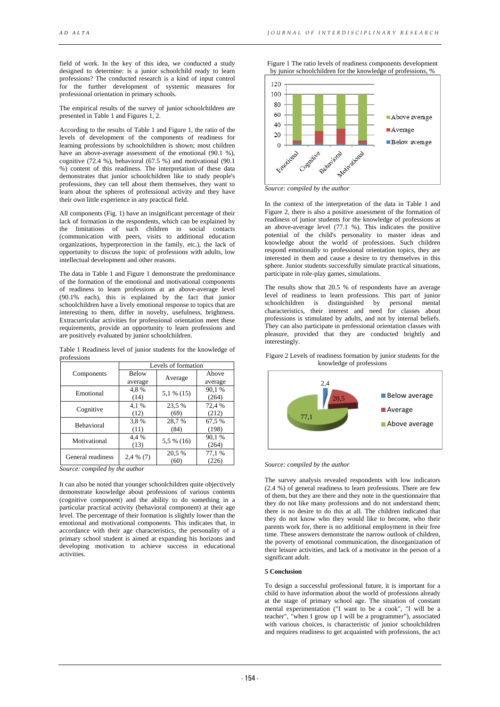field of work. In the key of this idea, we conducted a study designed to determine: is a junior schoolchild ready to learn professions? The conducted research is a kind of input control for the further development of systemic measures for professional orientation in primary schools.

The empirical results of the survey of junior schoolchildren are presented in Table 1 and Figures 1, 2.

According to the results of Table 1 and Figure 1, the ratio of the levels of development of the components of readiness for learning professions by schoolchildren is shown; most children have an above-average assessment of the emotional (90.1 %), cognitive (72.4 %), behavioral (67.5 %) and motivational (90.1 %) content of this readiness. The interpretation of these data demonstrates that junior schoolchildren like to study people's professions, they can tell about them themselves, they want to learn about the spheres of professional activity and they have their own little experience in any practical field.

All components (Fig. 1) have an insignificant percentage of their lack of formation in the respondents, which can be explained by the limitations of such children in social contacts (communication with peers, visits to additional education organizations, hyperprotection in the family, etc.), the lack of opportunity to discuss the topic of professions with adults, low intellectual development and other reasons.

The data in Table 1 and Figure 1 demonstrate the predominance of the formation of the emotional and motivational components of readiness to learn professions at an above-average level (90.1% each), this is explained by the fact that junior schoolchildren have a lively emotional response to topics that are interesting to them, differ in novelty, usefulness, brightness. Extracurricular activities for professional orientation meet these requirements, provide an opportunity to learn professions and are positively evaluated by junior schoolchildren.

| Table 1 Readiness level of junior students for the knowledge of |  |  |  |
|-----------------------------------------------------------------|--|--|--|
| professions                                                     |  |  |  |

| Levels of formation |        |                                       |  |
|---------------------|--------|---------------------------------------|--|
| <b>Below</b>        |        | Above                                 |  |
| average             |        | average                               |  |
| 4.8%                |        | 90,1%                                 |  |
| (14)                |        | (264)                                 |  |
| 4.1 %               | 23,5 % | 72,4 %                                |  |
| (12)                | (69)   | (212)                                 |  |
| 3.8%                | 28,7%  | 67,5%                                 |  |
| (11)                | (84)   | (198)                                 |  |
| 4.4 %               |        | 90,1%                                 |  |
| (13)                |        | (264)                                 |  |
| $2,4\%$ (7)         | 20,5 % | 77,1 %                                |  |
|                     | (60)   | (226)                                 |  |
|                     |        | Average<br>$5.1\%$ (15)<br>5,5 % (16) |  |

*Source: compiled by the author*

It can also be noted that younger schoolchildren quite objectively demonstrate knowledge about professions of various contents (cognitive component) and the ability to do something in a particular practical activity (behavioral component) at their age level. The percentage of their formation is slightly lower than the emotional and motivational components. This indicates that, in accordance with their age characteristics, the personality of a primary school student is aimed at expanding his horizons and developing motivation to achieve success in educational activities.

Figure 1 The ratio levels of readiness components development by junior schoolchildren for the knowledge of professions, %



*Source: compiled by the author*

In the context of the interpretation of the data in Table 1 and Figure 2, there is also a positive assessment of the formation of readiness of junior students for the knowledge of professions at an above-average level (77.1 %). This indicates the positive potential of the child's personality to master ideas and knowledge about the world of professions. Such children respond emotionally to professional orientation topics, they are interested in them and cause a desire to try themselves in this sphere. Junior students successfully simulate practical situations, participate in role-play games, simulations.

The results show that 20.5 % of respondents have an average level of readiness to learn professions. This part of junior schoolchildren is distinguished by personal mental characteristics, their interest and need for classes about professions is stimulated by adults, and not by internal beliefs. They can also participate in professional orientation classes with pleasure, provided that they are conducted brightly and interestingly.

Figure 2 Levels of readiness formation by junior students for the knowledge of professions



*Source: compiled by the author*

The survey analysis revealed respondents with low indicators (2.4 %) of general readiness to learn professions. There are few of them, but they are there and they note in the questionnaire that they do not like many professions and do not understand them; there is no desire to do this at all. The children indicated that they do not know who they would like to become, who their parents work for, there is no additional employment in their free time. These answers demonstrate the narrow outlook of children, the poverty of emotional communication, the disorganization of their leisure activities, and lack of a motivator in the person of a significant adult.

#### **5 Conclusion**

To design a successful professional future, it is important for a child to have information about the world of professions already at the stage of primary school age. The situation of constant mental experimentation ("I want to be a cook", "I will be a teacher", "when I grow up I will be a programmer"), associated with various choices, is characteristic of junior schoolchildren and requires readiness to get acquainted with professions, the act